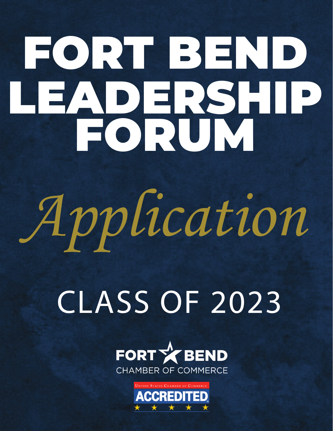# FORT BEND LEADERSHIP FORUM

# *Application*

# CLASS OF 2023



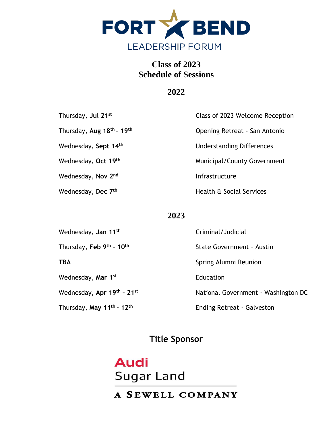

# **Class of 2023 Schedule of Sessions**

# **2022**

| Thursday, Jul 21st                                | Class of 2023 Welcome Reception  |  |
|---------------------------------------------------|----------------------------------|--|
| Thursday, Aug 25 <sup>th</sup> - 26 <sup>th</sup> | Opening Retreat - San Antonio    |  |
| Wednesday, <b>Sept 14<sup>th</sup></b>            | <b>Understanding Differences</b> |  |
| Wednesday, Oct 19 <sup>th</sup>                   | Municipal/County Government      |  |
| Wednesday, Nov 2 <sup>nd</sup>                    | Infrastructure                   |  |
| Wednesday, <b>Dec 7<sup>th</sup></b>              | Health & Social Services         |  |

# **2023**

| Wednesday, Jan 11 <sup>th</sup>                   | Criminal/Judicial                   |  |
|---------------------------------------------------|-------------------------------------|--|
| Thursday, Feb 9th - 10th                          | State Government - Austin           |  |
| <b>TBA</b>                                        | Spring Alumni Reunion               |  |
| Wednesday, Mar 1 <sup>st</sup>                    | Education                           |  |
| Wednesday, Apr 19th - 21st                        | National Government - Washington DC |  |
| Thursday, May 11 <sup>th</sup> - 12 <sup>th</sup> | <b>Ending Retreat - Galveston</b>   |  |

# **Title Sponsor**

# **Audi Sugar Land**

# A SEWELL COMPANY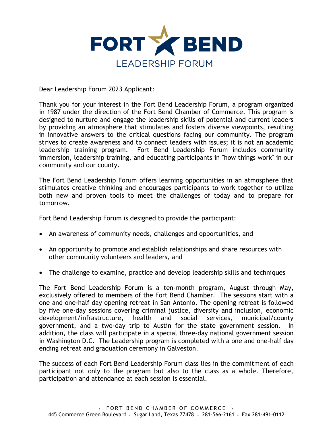

Dear Leadership Forum 2023 Applicant:

Thank you for your interest in the Fort Bend Leadership Forum, a program organized in 1987 under the direction of the Fort Bend Chamber of Commerce. This program is designed to nurture and engage the leadership skills of potential and current leaders by providing an atmosphere that stimulates and fosters diverse viewpoints, resulting in innovative answers to the critical questions facing our community. The program strives to create awareness and to connect leaders with issues; it is not an academic leadership training program. Fort Bend Leadership Forum includes community immersion, leadership training, and educating participants in "how things work" in our community and our county.

The Fort Bend Leadership Forum offers learning opportunities in an atmosphere that stimulates creative thinking and encourages participants to work together to utilize both new and proven tools to meet the challenges of today and to prepare for tomorrow.

Fort Bend Leadership Forum is designed to provide the participant:

- An awareness of community needs, challenges and opportunities, and
- An opportunity to promote and establish relationships and share resources with other community volunteers and leaders, and
- The challenge to examine, practice and develop leadership skills and techniques

The Fort Bend Leadership Forum is a ten-month program, August through May, exclusively offered to members of the Fort Bend Chamber. The sessions start with a one and one-half day opening retreat in San Antonio. The opening retreat is followed by six one-day sessions covering criminal justice, diversity and inclusion, education, economic development/infrastructure, health and social services, municipal/county government, and a two-day trip to Austin for the state government session. In addition, the class will participate in a special three-day national government session in Washington D.C. The Leadership program is completed with a one and one-half day ending retreat and graduation ceremony in Galveston.

The success of each Fort Bend Leadership Forum class lies in the commitment of each participant not only to the program but also to the class as a whole. Therefore, participation and attendance at each session is essential.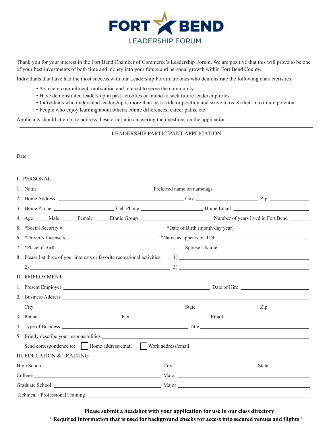

Thank you for your interest in the Fort Bend Chamber of Commerce's Leadership Forum. We are positive that this will prove to be one of your best investments of both time and money into your future and personal growth within Fort Bend County.

Individuals that have had the most success with our Leadership Forum are ones who demonstrate the following characteristics:

- A sincere commitment, motivation and interest to serve the community
- Have demonstrated leadership in past activities or intend to seek future leadership roles
- Individuals who understand leadership is more than just a title or position and strive to reach their maximum potential
- People who enjoy learning about others; ethnic differences, career paths, etc.

Applicants should attempt to address these criteria in answering the questions on the application.

#### LEADERSHIP PARTICIPANT APPLICATION

| Date<br><u> 1989 - John Harry Barn, mars and de la partie de la partie de la partie de la partie de la partie de la part</u> |  |  |  |
|------------------------------------------------------------------------------------------------------------------------------|--|--|--|
| I. PERSONAL                                                                                                                  |  |  |  |
|                                                                                                                              |  |  |  |
|                                                                                                                              |  |  |  |
|                                                                                                                              |  |  |  |
| 4. Age _____ Male ______ Female _____ Ethnic Group _____________________________ Number of years lived in Fort Bend ______   |  |  |  |
| 5. *Social Security # *Date of Birth (month/day/year)                                                                        |  |  |  |
| 6. *Driver's License $\#$ $*$ Name as appears on TDL $*$ Name as appears on TDL $*$ Name as appears on TDL $*$               |  |  |  |
|                                                                                                                              |  |  |  |
|                                                                                                                              |  |  |  |
| $\frac{3}{2}$                                                                                                                |  |  |  |
| <b>II. EMPLOYMENT</b>                                                                                                        |  |  |  |
|                                                                                                                              |  |  |  |
|                                                                                                                              |  |  |  |
|                                                                                                                              |  |  |  |
|                                                                                                                              |  |  |  |
|                                                                                                                              |  |  |  |
|                                                                                                                              |  |  |  |
| Send correspondence to:     Home address/email     Work address/email                                                        |  |  |  |
| <b>III. EDUCATION &amp; TRAINING</b>                                                                                         |  |  |  |
|                                                                                                                              |  |  |  |
|                                                                                                                              |  |  |  |
|                                                                                                                              |  |  |  |
|                                                                                                                              |  |  |  |

**Please submit a headshot with your application for use in our class directory \* Required information that is used for background checks for access into secured venues and flights \***